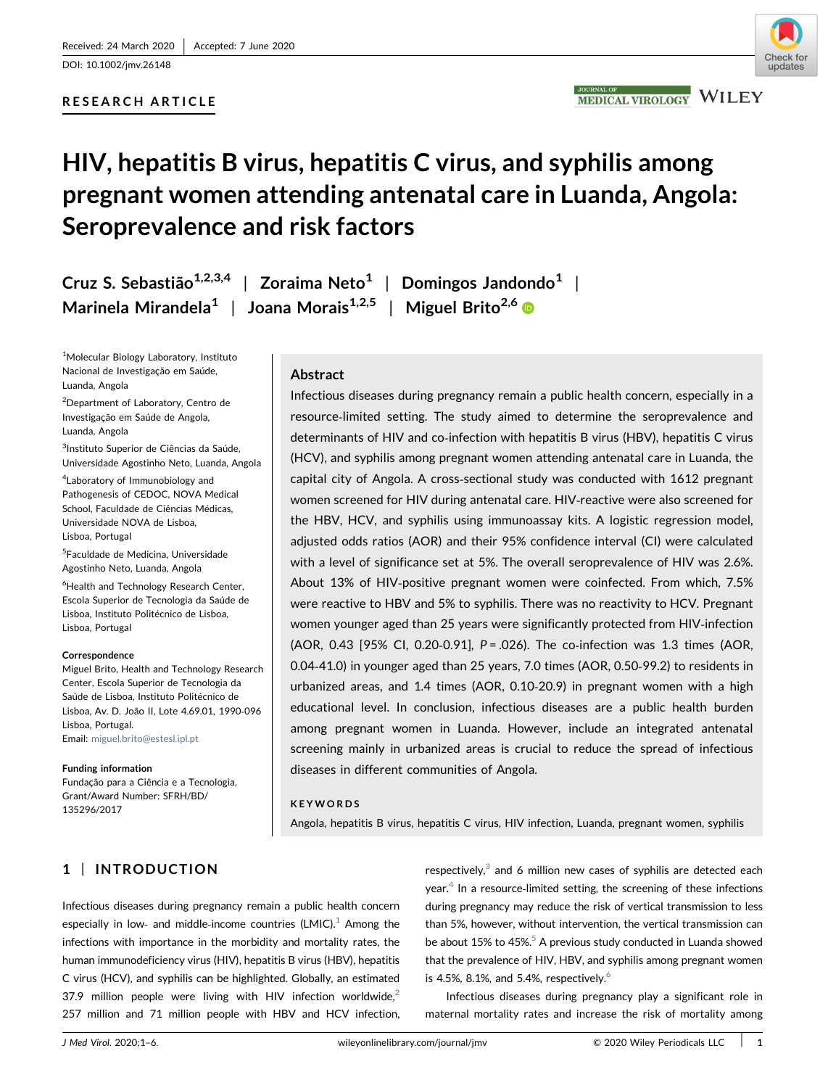DOI: 10.1002/jmv.26148

# RESEARCH ARTICLE



# HIV, hepatitis B virus, hepatitis C virus, and syphilis among pregnant women attending antenatal care in Luanda, Angola: Seroprevalence and risk factors

Cruz S. Sebastião<sup>1,2,3,4</sup> | Zoraima Neto<sup>1</sup> | Domingos Jandondo<sup>1</sup> | Marinela Mirandela<sup>1</sup> | Joana Morais<sup>1,2,5</sup> | Miguel Brito<sup>2,[6](http://orcid.org/0000-0001-6394-658X)</sup> ®

1 Molecular Biology Laboratory, Instituto Nacional de Investigação em Saúde, Luanda, Angola

2 Department of Laboratory, Centro de Investigação em Saúde de Angola, Luanda, Angola

<sup>3</sup>Instituto Superior de Ciências da Saúde, Universidade Agostinho Neto, Luanda, Angola

4 Laboratory of Immunobiology and Pathogenesis of CEDOC, NOVA Medical School, Faculdade de Ciências Médicas, Universidade NOVA de Lisboa, Lisboa, Portugal

5 Faculdade de Medicina, Universidade Agostinho Neto, Luanda, Angola

6 Health and Technology Research Center, Escola Superior de Tecnologia da Saúde de Lisboa, Instituto Politécnico de Lisboa, Lisboa, Portugal

### Correspondence

Miguel Brito, Health and Technology Research Center, Escola Superior de Tecnologia da Saúde de Lisboa, Instituto Politécnico de Lisboa, Av. D. João II, Lote 4.69.01, 1990‐096 Lisboa, Portugal. Email: [miguel.brito@estesl.ipl.pt](mailto:miguel.brito@estesl.ipl.pt)

### Funding information

Fundação para a Ciência e a Tecnologia, Grant/Award Number: SFRH/BD/ 135296/2017

# Abstract

Infectious diseases during pregnancy remain a public health concern, especially in a resource‐limited setting. The study aimed to determine the seroprevalence and determinants of HIV and co-infection with hepatitis B virus (HBV), hepatitis C virus (HCV), and syphilis among pregnant women attending antenatal care in Luanda, the capital city of Angola. A cross‐sectional study was conducted with 1612 pregnant women screened for HIV during antenatal care. HIV-reactive were also screened for the HBV, HCV, and syphilis using immunoassay kits. A logistic regression model, adjusted odds ratios (AOR) and their 95% confidence interval (CI) were calculated with a level of significance set at 5%. The overall seroprevalence of HIV was 2.6%. About 13% of HIV‐positive pregnant women were coinfected. From which, 7.5% were reactive to HBV and 5% to syphilis. There was no reactivity to HCV. Pregnant women younger aged than 25 years were significantly protected from HIV-infection (AOR, 0.43 [95% CI, 0.20-0.91],  $P = 0.026$ ). The co-infection was 1.3 times (AOR, 0.04‐41.0) in younger aged than 25 years, 7.0 times (AOR, 0.50‐99.2) to residents in urbanized areas, and 1.4 times (AOR, 0.10‐20.9) in pregnant women with a high educational level. In conclusion, infectious diseases are a public health burden among pregnant women in Luanda. However, include an integrated antenatal screening mainly in urbanized areas is crucial to reduce the spread of infectious diseases in different communities of Angola.

### KEYWORDS

Angola, hepatitis B virus, hepatitis C virus, HIV infection, Luanda, pregnant women, syphilis

# 1 | INTRODUCTION

Infectious diseases during pregnancy remain a public health concern especially in low- and middle-income countries  $(LMIC)^1$  Among the infections with importance in the morbidity and mortality rates, the human immunodeficiency virus (HIV), hepatitis B virus (HBV), hepatitis C virus (HCV), and syphilis can be highlighted. Globally, an estimated 37.9 million people were living with HIV infection worldwide, $2$ 257 million and 71 million people with HBV and HCV infection,

respectively, $3$  and 6 million new cases of syphilis are detected each year.<sup>[4](#page-4-0)</sup> In a resource-limited setting, the screening of these infections during pregnancy may reduce the risk of vertical transmission to less than 5%, however, without intervention, the vertical transmission can be about 15% to 45%.<sup>5</sup> A previous study conducted in Luanda showed that the prevalence of HIV, HBV, and syphilis among pregnant women is 4.5%, 8.1%, and 5.4%, respectively. $6$ 

Infectious diseases during pregnancy play a significant role in maternal mortality rates and increase the risk of mortality among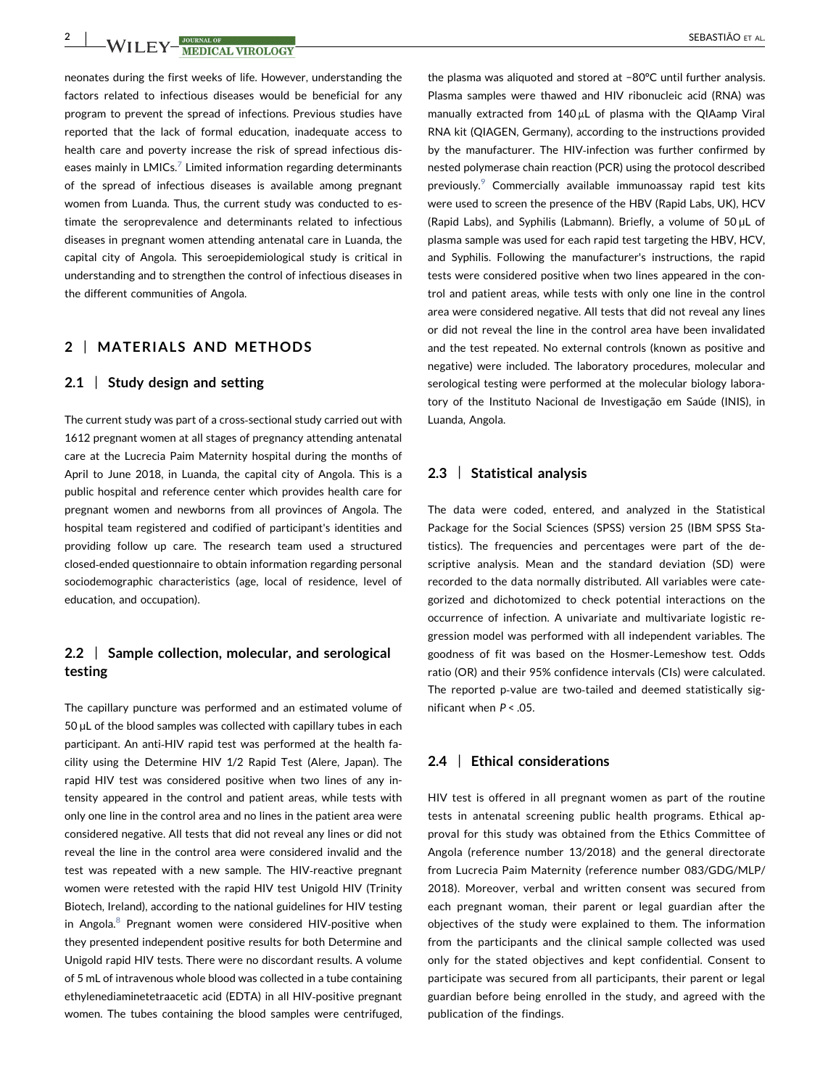neonates during the first weeks of life. However, understanding the factors related to infectious diseases would be beneficial for any program to prevent the spread of infections. Previous studies have reported that the lack of formal education, inadequate access to health care and poverty increase the risk of spread infectious diseases mainly in  $LMICS$ <sup>[7](#page-4-0)</sup> Limited information regarding determinants of the spread of infectious diseases is available among pregnant women from Luanda. Thus, the current study was conducted to estimate the seroprevalence and determinants related to infectious diseases in pregnant women attending antenatal care in Luanda, the capital city of Angola. This seroepidemiological study is critical in understanding and to strengthen the control of infectious diseases in the different communities of Angola.

# 2 | MATERIALS AND METHODS

### 2.1 | Study design and setting

The current study was part of a cross‐sectional study carried out with 1612 pregnant women at all stages of pregnancy attending antenatal care at the Lucrecia Paim Maternity hospital during the months of April to June 2018, in Luanda, the capital city of Angola. This is a public hospital and reference center which provides health care for pregnant women and newborns from all provinces of Angola. The hospital team registered and codified of participant's identities and providing follow up care. The research team used a structured closed‐ended questionnaire to obtain information regarding personal sociodemographic characteristics (age, local of residence, level of education, and occupation).

# 2.2 | Sample collection, molecular, and serological testing

The capillary puncture was performed and an estimated volume of 50 µL of the blood samples was collected with capillary tubes in each participant. An anti-HIV rapid test was performed at the health facility using the Determine HIV 1/2 Rapid Test (Alere, Japan). The rapid HIV test was considered positive when two lines of any intensity appeared in the control and patient areas, while tests with only one line in the control area and no lines in the patient area were considered negative. All tests that did not reveal any lines or did not reveal the line in the control area were considered invalid and the test was repeated with a new sample. The HIV‐reactive pregnant women were retested with the rapid HIV test Unigold HIV (Trinity Biotech, Ireland), according to the national guidelines for HIV testing in Angola.<sup>[8](#page-4-0)</sup> Pregnant women were considered HIV-positive when they presented independent positive results for both Determine and Unigold rapid HIV tests. There were no discordant results. A volume of 5 mL of intravenous whole blood was collected in a tube containing ethylenediaminetetraacetic acid (EDTA) in all HIV‐positive pregnant women. The tubes containing the blood samples were centrifuged,

the plasma was aliquoted and stored at −80°C until further analysis. Plasma samples were thawed and HIV ribonucleic acid (RNA) was manually extracted from 140 μL of plasma with the QIAamp Viral RNA kit (QIAGEN, Germany), according to the instructions provided by the manufacturer. The HIV-infection was further confirmed by nested polymerase chain reaction (PCR) using the protocol described previously.<sup>[9](#page-4-0)</sup> Commercially available immunoassay rapid test kits were used to screen the presence of the HBV (Rapid Labs, UK), HCV (Rapid Labs), and Syphilis (Labmann). Briefly, a volume of 50 µL of plasma sample was used for each rapid test targeting the HBV, HCV, and Syphilis. Following the manufacturer's instructions, the rapid tests were considered positive when two lines appeared in the control and patient areas, while tests with only one line in the control area were considered negative. All tests that did not reveal any lines or did not reveal the line in the control area have been invalidated and the test repeated. No external controls (known as positive and negative) were included. The laboratory procedures, molecular and serological testing were performed at the molecular biology laboratory of the Instituto Nacional de Investigação em Saúde (INIS), in Luanda, Angola.

# 2.3 | Statistical analysis

The data were coded, entered, and analyzed in the Statistical Package for the Social Sciences (SPSS) version 25 (IBM SPSS Statistics). The frequencies and percentages were part of the descriptive analysis. Mean and the standard deviation (SD) were recorded to the data normally distributed. All variables were categorized and dichotomized to check potential interactions on the occurrence of infection. A univariate and multivariate logistic regression model was performed with all independent variables. The goodness of fit was based on the Hosmer‐Lemeshow test. Odds ratio (OR) and their 95% confidence intervals (CIs) were calculated. The reported p-value are two-tailed and deemed statistically significant when  $P < 0.05$ .

### 2.4 | Ethical considerations

HIV test is offered in all pregnant women as part of the routine tests in antenatal screening public health programs. Ethical approval for this study was obtained from the Ethics Committee of Angola (reference number 13/2018) and the general directorate from Lucrecia Paim Maternity (reference number 083/GDG/MLP/ 2018). Moreover, verbal and written consent was secured from each pregnant woman, their parent or legal guardian after the objectives of the study were explained to them. The information from the participants and the clinical sample collected was used only for the stated objectives and kept confidential. Consent to participate was secured from all participants, their parent or legal guardian before being enrolled in the study, and agreed with the publication of the findings.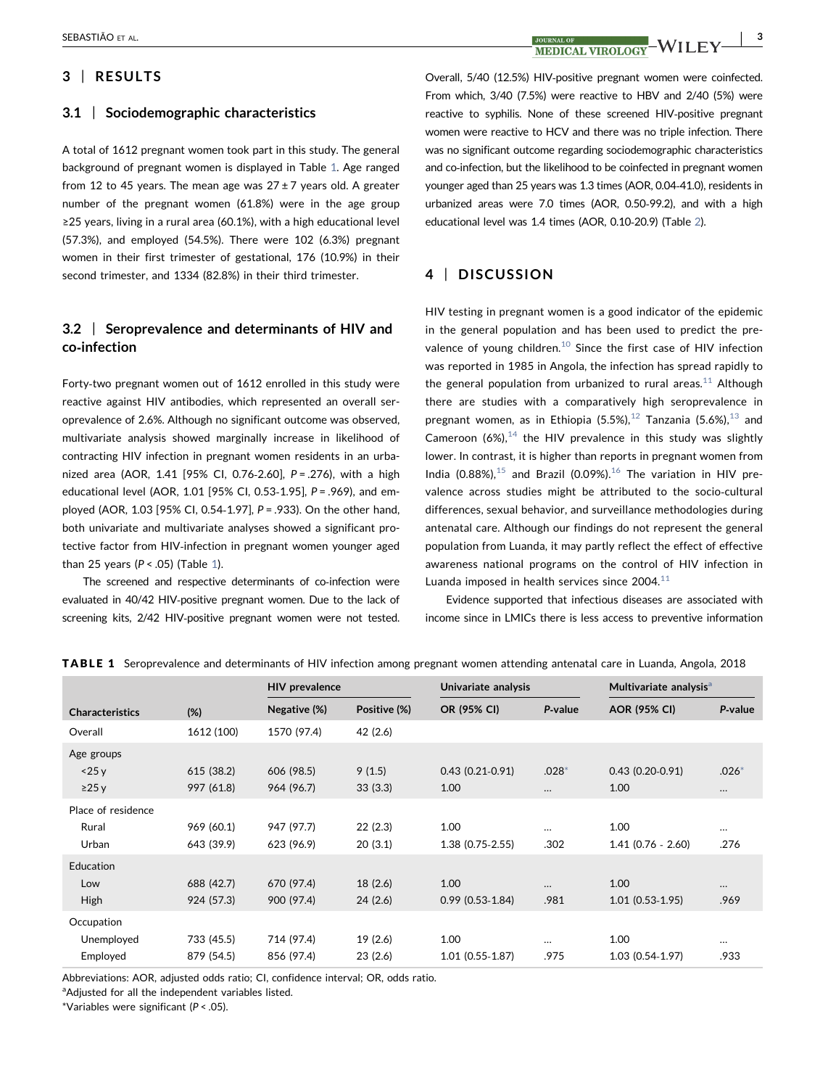# SEBASTIÃO ET AL.  $\begin{array}{c|c} \text{SUBASTIÃO ET AL.} \end{array}$   $\begin{array}{c|c} \text{JOURNAL OF} \end{array} \begin{array}{c} \text{JOURNAL OF} \end{array} \begin{array}{c} \text{JOURNAL OF} \end{array} \begin{array}{c} \text{JUPOT OCF} \end{array} \begin{array}{c} \text{AIC F} \end{array} \begin{array}{c} \end{array} \begin{array}{c} 3 \end{array}$

# 3 | RESULTS

### 3.1 | Sociodemographic characteristics

A total of 1612 pregnant women took part in this study. The general background of pregnant women is displayed in Table [1](#page-2-0). Age ranged from 12 to 45 years. The mean age was  $27 \pm 7$  years old. A greater number of the pregnant women (61.8%) were in the age group ≥25 years, living in a rural area (60.1%), with a high educational level (57.3%), and employed (54.5%). There were 102 (6.3%) pregnant women in their first trimester of gestational, 176 (10.9%) in their second trimester, and 1334 (82.8%) in their third trimester.

# 3.2 | Seroprevalence and determinants of HIV and co‐infection

Forty-two pregnant women out of 1612 enrolled in this study were reactive against HIV antibodies, which represented an overall seroprevalence of 2.6%. Although no significant outcome was observed, multivariate analysis showed marginally increase in likelihood of contracting HIV infection in pregnant women residents in an urbanized area (AOR, 1.41 [95% CI, 0.76-2.60], P = .276), with a high educational level (AOR, 1.01 [95% CI, 0.53‐1.95], P = .969), and employed (AOR, 1.03 [95% CI, 0.54‐1.97], P = .933). On the other hand, both univariate and multivariate analyses showed a significant protective factor from HIV‐infection in pregnant women younger aged than 25 years ( $P < .05$ ) (Table [1\)](#page-2-0).

The screened and respective determinants of co-infection were evaluated in 40/42 HIV‐positive pregnant women. Due to the lack of screening kits, 2/42 HIV‐positive pregnant women were not tested. Overall, 5/40 (12.5%) HIV‐positive pregnant women were coinfected. From which, 3/40 (7.5%) were reactive to HBV and 2/40 (5%) were reactive to syphilis. None of these screened HIV‐positive pregnant women were reactive to HCV and there was no triple infection. There was no significant outcome regarding sociodemographic characteristics and co-infection, but the likelihood to be coinfected in pregnant women younger aged than 25 years was 1.3 times (AOR, 0.04‐41.0), residents in urbanized areas were 7.0 times (AOR, 0.50‐99.2), and with a high educational level was 1.4 times (AOR, 0.10‐20.9) (Table [2](#page-3-0)).

# 4 | DISCUSSION

HIV testing in pregnant women is a good indicator of the epidemic in the general population and has been used to predict the pre-valence of young children.<sup>[10](#page-4-0)</sup> Since the first case of HIV infection was reported in 1985 in Angola, the infection has spread rapidly to the general population from urbanized to rural areas.<sup>[11](#page-4-0)</sup> Although there are studies with a comparatively high seroprevalence in pregnant women, as in Ethiopia  $(5.5\%)$ ,  $^{12}$  $^{12}$  $^{12}$  Tanzania  $(5.6\%)$ ,  $^{13}$  $^{13}$  $^{13}$  and Cameroon (6%), $14$  the HIV prevalence in this study was slightly lower. In contrast, it is higher than reports in pregnant women from India (0.88%), $15$  and Brazil (0.09%). $16$  The variation in HIV prevalence across studies might be attributed to the socio‐cultural differences, sexual behavior, and surveillance methodologies during antenatal care. Although our findings do not represent the general population from Luanda, it may partly reflect the effect of effective awareness national programs on the control of HIV infection in Luanda imposed in health services since  $2004.<sup>11</sup>$  $2004.<sup>11</sup>$  $2004.<sup>11</sup>$ 

Evidence supported that infectious diseases are associated with income since in LMICs there is less access to preventive information

|                        |            | <b>HIV</b> prevalence |              | Univariate analysis |          | Multivariate analysis <sup>a</sup> |          |
|------------------------|------------|-----------------------|--------------|---------------------|----------|------------------------------------|----------|
| <b>Characteristics</b> | (%)        | Negative (%)          | Positive (%) | OR (95% CI)         | P-value  | <b>AOR (95% CI)</b>                | P-value  |
| Overall                | 1612 (100) | 1570 (97.4)           | 42 (2.6)     |                     |          |                                    |          |
| Age groups             |            |                       |              |                     |          |                                    |          |
| $<$ 25 y               | 615 (38.2) | 606 (98.5)            | 9(1.5)       | $0.43(0.21-0.91)$   | $.028*$  | $0.43(0.20-0.91)$                  | $.026*$  |
| $\geq$ 25 y            | 997 (61.8) | 964 (96.7)            | 33(3.3)      | 1.00                | $\cdots$ | 1.00                               | $\cdots$ |
| Place of residence     |            |                       |              |                     |          |                                    |          |
| Rural                  | 969 (60.1) | 947 (97.7)            | 22(2.3)      | 1.00                | $\cdots$ | 1.00                               | $\cdots$ |
| Urban                  | 643 (39.9) | 623 (96.9)            | 20(3.1)      | $1.38(0.75-2.55)$   | .302     | $1.41(0.76 - 2.60)$                | .276     |
| Education              |            |                       |              |                     |          |                                    |          |
| Low                    | 688 (42.7) | 670 (97.4)            | 18(2.6)      | 1.00                | $\cdots$ | 1.00                               | $\cdots$ |
| <b>High</b>            | 924 (57.3) | 900 (97.4)            | 24(2.6)      | $0.99(0.53-1.84)$   | .981     | $1.01(0.53-1.95)$                  | .969     |
| Occupation             |            |                       |              |                     |          |                                    |          |
| Unemployed             | 733 (45.5) | 714 (97.4)            | 19(2.6)      | 1.00                | $\cdots$ | 1.00                               | $\cdots$ |
| Employed               | 879 (54.5) | 856 (97.4)            | 23(2.6)      | $1.01(0.55-1.87)$   | .975     | 1.03 (0.54-1.97)                   | .933     |

<span id="page-2-0"></span>TABLE 1 Seroprevalence and determinants of HIV infection among pregnant women attending antenatal care in Luanda, Angola, 2018

Abbreviations: AOR, adjusted odds ratio; CI, confidence interval; OR, odds ratio.

<span id="page-2-1"></span><sup>a</sup>Adjusted for all the independent variables listed.

<span id="page-2-2"></span>\*Variables were significant ( $P < .05$ ).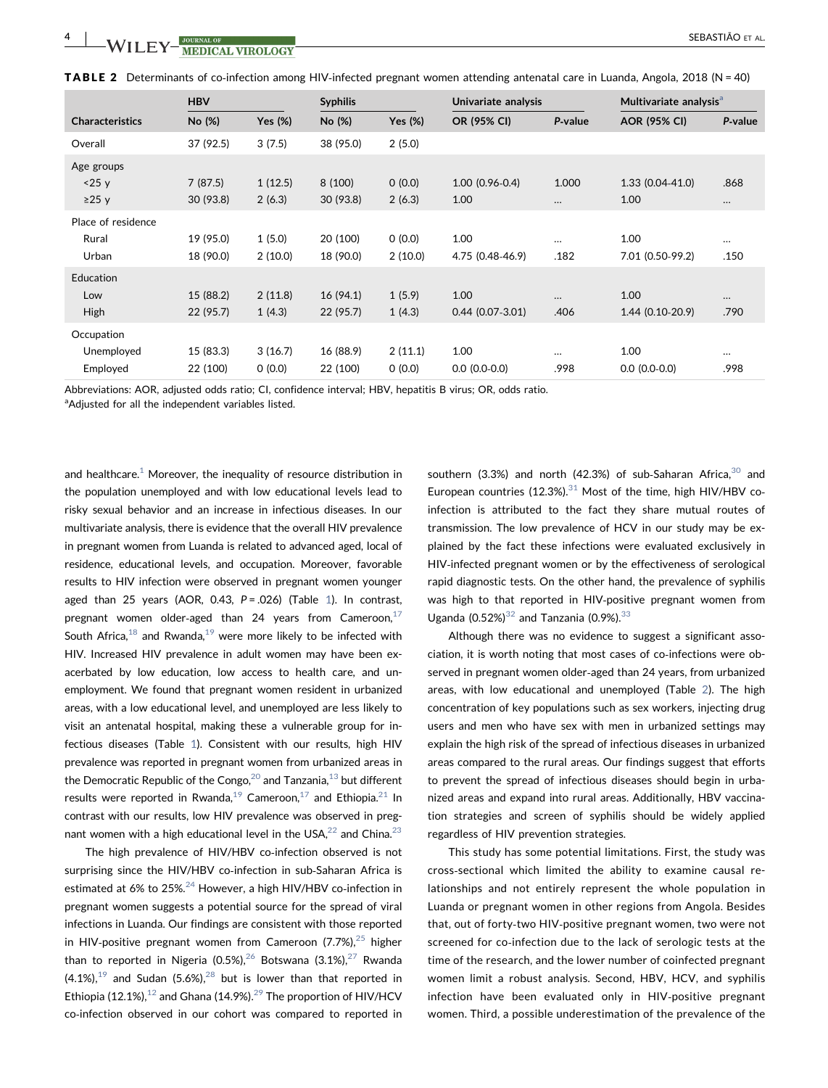<span id="page-3-0"></span>

|  |  |  | TABLE 2 Determinants of co-infection among HIV-infected pregnant women attending antenatal care in Luanda, Angola, 2018 (N = 40) |  |  |
|--|--|--|----------------------------------------------------------------------------------------------------------------------------------|--|--|
|--|--|--|----------------------------------------------------------------------------------------------------------------------------------|--|--|

|                        | <b>HBV</b> |            | <b>Syphilis</b> |            | Univariate analysis |          | Multivariate analysis <sup>a</sup> |          |
|------------------------|------------|------------|-----------------|------------|---------------------|----------|------------------------------------|----------|
| <b>Characteristics</b> | No (%)     | Yes $(\%)$ | No (%)          | Yes $(\%)$ | OR (95% CI)         | P-value  | <b>AOR (95% CI)</b>                | P-value  |
| Overall                | 37 (92.5)  | 3(7.5)     | 38 (95.0)       | 2(5.0)     |                     |          |                                    |          |
| Age groups             |            |            |                 |            |                     |          |                                    |          |
| < 25 y                 | 7(87.5)    | 1(12.5)    | 8 (100)         | 0(0.0)     | $1.00(0.96-0.4)$    | 1.000    | $1.33(0.04-41.0)$                  | .868     |
| $\geq$ 25 y            | 30(93.8)   | 2(6.3)     | 30(93.8)        | 2(6.3)     | 1.00                | $\cdots$ | 1.00                               | $\cdots$ |
| Place of residence     |            |            |                 |            |                     |          |                                    |          |
| Rural                  | 19 (95.0)  | 1(5.0)     | 20 (100)        | 0(0.0)     | 1.00                | $\cdots$ | 1.00                               | $\cdots$ |
| Urban                  | 18 (90.0)  | 2(10.0)    | 18 (90.0)       | 2(10.0)    | 4.75 (0.48-46.9)    | .182     | 7.01 (0.50-99.2)                   | .150     |
| <b>Education</b>       |            |            |                 |            |                     |          |                                    |          |
| Low                    | 15 (88.2)  | 2(11.8)    | 16 (94.1)       | 1(5.9)     | 1.00                | $\cdots$ | 1.00                               | $\cdots$ |
| High                   | 22 (95.7)  | 1(4.3)     | 22 (95.7)       | 1(4.3)     | $0.44(0.07-3.01)$   | .406     | $1.44(0.10-20.9)$                  | .790     |
| Occupation             |            |            |                 |            |                     |          |                                    |          |
| Unemployed             | 15 (83.3)  | 3(16.7)    | 16 (88.9)       | 2(11.1)    | 1.00                | $\cdots$ | 1.00                               | $\cdots$ |
| Employed               | 22 (100)   | 0(0.0)     | 22 (100)        | 0(0.0)     | $0.0 (0.0 - 0.0)$   | .998     | $0.0 (0.0 - 0.0)$                  | .998     |

Abbreviations: AOR, adjusted odds ratio; CI, confidence interval; HBV, hepatitis B virus; OR, odds ratio.

<span id="page-3-1"></span><sup>a</sup>Adjusted for all the independent variables listed.

and healthcare. $1$  Moreover, the inequality of resource distribution in the population unemployed and with low educational levels lead to risky sexual behavior and an increase in infectious diseases. In our multivariate analysis, there is evidence that the overall HIV prevalence in pregnant women from Luanda is related to advanced aged, local of residence, educational levels, and occupation. Moreover, favorable results to HIV infection were observed in pregnant women younger aged than 25 years (AOR, 0.43,  $P = .026$ ) (Table [1\)](#page-2-0). In contrast, pregnant women older-aged than 24 years from Cameroon, $17$ South Africa,  $18$  and Rwanda,  $19$  were more likely to be infected with HIV. Increased HIV prevalence in adult women may have been exacerbated by low education, low access to health care, and unemployment. We found that pregnant women resident in urbanized areas, with a low educational level, and unemployed are less likely to visit an antenatal hospital, making these a vulnerable group for infectious diseases (Table [1\)](#page-2-0). Consistent with our results, high HIV prevalence was reported in pregnant women from urbanized areas in the Democratic Republic of the Congo,  $20$  and Tanzania,  $13$  but different results were reported in Rwanda,<sup>19</sup> Cameroon,<sup>17</sup> and Ethiopia.<sup>21</sup> In contrast with our results, low HIV prevalence was observed in pregnant women with a high educational level in the USA, $^{22}$  $^{22}$  $^{22}$  and China. $^{23}$ 

The high prevalence of HIV/HBV co-infection observed is not surprising since the HIV/HBV co-infection in sub-Saharan Africa is estimated at 6% to 25%.<sup>[24](#page-5-0)</sup> However, a high HIV/HBV co-infection in pregnant women suggests a potential source for the spread of viral infections in Luanda. Our findings are consistent with those reported in HIV-positive pregnant women from Cameroon (7.7%), $^{25}$  $^{25}$  $^{25}$  higher than to reported in Nigeria (0.5%),  $26$  Botswana (3.1%),  $27$  Rwanda  $(4.1\%)$ ,<sup>[19](#page-5-0)</sup> and Sudan (5.6%),<sup>[28](#page-5-0)</sup> but is lower than that reported in Ethiopia ([12](#page-4-0).1%),<sup>12</sup> and Ghana (14.9%).<sup>29</sup> The proportion of HIV/HCV co‐infection observed in our cohort was compared to reported in southern (3.3%) and north (42.3%) of sub-Saharan Africa, $30$  and European countries (12.3%). $31$  Most of the time, high HIV/HBV coinfection is attributed to the fact they share mutual routes of transmission. The low prevalence of HCV in our study may be explained by the fact these infections were evaluated exclusively in HIV‐infected pregnant women or by the effectiveness of serological rapid diagnostic tests. On the other hand, the prevalence of syphilis was high to that reported in HIV‐positive pregnant women from Uganda  $(0.52\%)^{32}$  $(0.52\%)^{32}$  $(0.52\%)^{32}$  and Tanzania  $(0.9\%)^{33}$  $(0.9\%)^{33}$  $(0.9\%)^{33}$ 

Although there was no evidence to suggest a significant association, it is worth noting that most cases of co-infections were observed in pregnant women older‐aged than 24 years, from urbanized areas, with low educational and unemployed (Table [2\)](#page-3-0). The high concentration of key populations such as sex workers, injecting drug users and men who have sex with men in urbanized settings may explain the high risk of the spread of infectious diseases in urbanized areas compared to the rural areas. Our findings suggest that efforts to prevent the spread of infectious diseases should begin in urbanized areas and expand into rural areas. Additionally, HBV vaccination strategies and screen of syphilis should be widely applied regardless of HIV prevention strategies.

This study has some potential limitations. First, the study was cross‐sectional which limited the ability to examine causal relationships and not entirely represent the whole population in Luanda or pregnant women in other regions from Angola. Besides that, out of forty‐two HIV‐positive pregnant women, two were not screened for co-infection due to the lack of serologic tests at the time of the research, and the lower number of coinfected pregnant women limit a robust analysis. Second, HBV, HCV, and syphilis infection have been evaluated only in HIV‐positive pregnant women. Third, a possible underestimation of the prevalence of the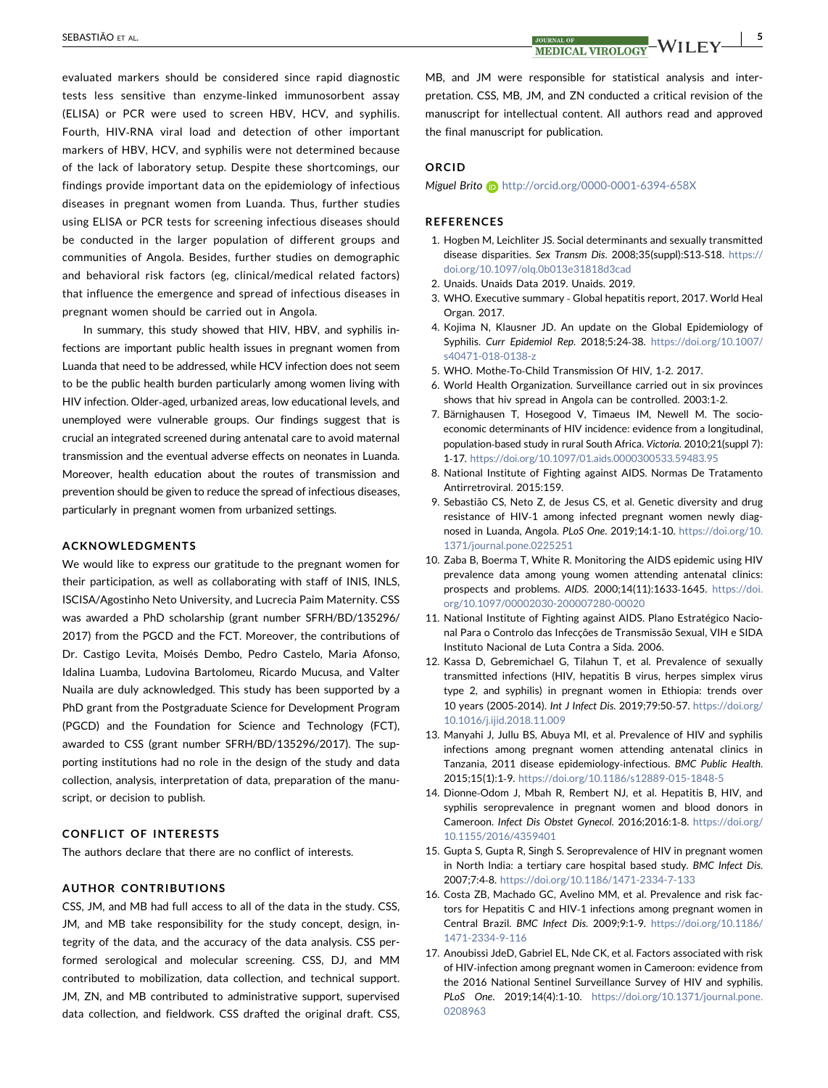evaluated markers should be considered since rapid diagnostic tests less sensitive than enzyme‐linked immunosorbent assay (ELISA) or PCR were used to screen HBV, HCV, and syphilis. Fourth, HIV‐RNA viral load and detection of other important markers of HBV, HCV, and syphilis were not determined because of the lack of laboratory setup. Despite these shortcomings, our findings provide important data on the epidemiology of infectious diseases in pregnant women from Luanda. Thus, further studies using ELISA or PCR tests for screening infectious diseases should be conducted in the larger population of different groups and communities of Angola. Besides, further studies on demographic and behavioral risk factors (eg, clinical/medical related factors) that influence the emergence and spread of infectious diseases in pregnant women should be carried out in Angola.

In summary, this study showed that HIV, HBV, and syphilis infections are important public health issues in pregnant women from Luanda that need to be addressed, while HCV infection does not seem to be the public health burden particularly among women living with HIV infection. Older‐aged, urbanized areas, low educational levels, and unemployed were vulnerable groups. Our findings suggest that is crucial an integrated screened during antenatal care to avoid maternal transmission and the eventual adverse effects on neonates in Luanda. Moreover, health education about the routes of transmission and prevention should be given to reduce the spread of infectious diseases, particularly in pregnant women from urbanized settings.

#### ACKNOWLEDGMENTS

We would like to express our gratitude to the pregnant women for their participation, as well as collaborating with staff of INIS, INLS, ISCISA/Agostinho Neto University, and Lucrecia Paim Maternity. CSS was awarded a PhD scholarship (grant number SFRH/BD/135296/ 2017) from the PGCD and the FCT. Moreover, the contributions of Dr. Castigo Levita, Moisés Dembo, Pedro Castelo, Maria Afonso, Idalina Luamba, Ludovina Bartolomeu, Ricardo Mucusa, and Valter Nuaila are duly acknowledged. This study has been supported by a PhD grant from the Postgraduate Science for Development Program (PGCD) and the Foundation for Science and Technology (FCT), awarded to CSS (grant number SFRH/BD/135296/2017). The supporting institutions had no role in the design of the study and data collection, analysis, interpretation of data, preparation of the manuscript, or decision to publish.

#### CONFLICT OF INTERESTS

The authors declare that there are no conflict of interests.

### AUTHOR CONTRIBUTIONS

CSS, JM, and MB had full access to all of the data in the study. CSS, JM, and MB take responsibility for the study concept, design, integrity of the data, and the accuracy of the data analysis. CSS performed serological and molecular screening. CSS, DJ, and MM contributed to mobilization, data collection, and technical support. JM, ZN, and MB contributed to administrative support, supervised data collection, and fieldwork. CSS drafted the original draft. CSS,

<span id="page-4-0"></span>SEBASTIÃO ET AL.  $\frac{3000 \text{ NADICAL OF}}{M \text{EDICAL VIBOT OCV}}$   $\frac{1}{\sqrt{5000 \text{ NADICAL VIBOT OCV}}}$   $\frac{1}{\sqrt{5}}$ 

MB, and JM were responsible for statistical analysis and interpretation. CSS, MB, JM, and ZN conducted a critical revision of the manuscript for intellectual content. All authors read and approved the final manuscript for publication.

# ORCID

Miguel Brito **b** <http://orcid.org/0000-0001-6394-658X>

### **REFERENCES**

- 1. Hogben M, Leichliter JS. Social determinants and sexually transmitted disease disparities. Sex Transm Dis. 2008;35(suppl):S13‐S18. [https://](https://doi.org/10.1097/olq.0b013e31818d3cad) [doi.org/10.1097/olq.0b013e31818d3cad](https://doi.org/10.1097/olq.0b013e31818d3cad)
- 2. Unaids. Unaids Data 2019. Unaids. 2019.
- 3. WHO. Executive summary ‐ Global hepatitis report, 2017. World Heal Organ. 2017.
- 4. Kojima N, Klausner JD. An update on the Global Epidemiology of Syphilis. Curr Epidemiol Rep. 2018;5:24‐38. [https://doi.org/10.1007/](https://doi.org/10.1007/s40471-018-0138-z) [s40471-018-0138-z](https://doi.org/10.1007/s40471-018-0138-z)
- 5. WHO. Mothe‐To‐Child Transmission Of HIV, 1‐2. 2017.
- 6. World Health Organization. Surveillance carried out in six provinces shows that hiv spread in Angola can be controlled. 2003:1‐2.
- 7. Bärnighausen T, Hosegood V, Timaeus IM, Newell M. The socioeconomic determinants of HIV incidence: evidence from a longitudinal, population‐based study in rural South Africa. Victoria. 2010;21(suppl 7): 1‐17. <https://doi.org/10.1097/01.aids.0000300533.59483.95>
- 8. National Institute of Fighting against AIDS. Normas De Tratamento Antirretroviral. 2015:159.
- 9. Sebastião CS, Neto Z, de Jesus CS, et al. Genetic diversity and drug resistance of HIV‐1 among infected pregnant women newly diagnosed in Luanda, Angola. PLoS One. 2019;14:1‐10. [https://doi.org/10.](https://doi.org/10.1371/journal.pone.0225251) [1371/journal.pone.0225251](https://doi.org/10.1371/journal.pone.0225251)
- 10. Zaba B, Boerma T, White R. Monitoring the AIDS epidemic using HIV prevalence data among young women attending antenatal clinics: prospects and problems. AIDS. 2000;14(11):1633‐1645. [https://doi.](https://doi.org/10.1097/00002030-200007280-00020) [org/10.1097/00002030-200007280-00020](https://doi.org/10.1097/00002030-200007280-00020)
- 11. National Institute of Fighting against AIDS. Plano Estratégico Nacional Para o Controlo das Infecções de Transmissão Sexual, VIH e SIDA Instituto Nacional de Luta Contra a Sida. 2006.
- 12. Kassa D, Gebremichael G, Tilahun T, et al. Prevalence of sexually transmitted infections (HIV, hepatitis B virus, herpes simplex virus type 2, and syphilis) in pregnant women in Ethiopia: trends over 10 years (2005‐2014). Int J Infect Dis. 2019;79:50‐57. [https://doi.org/](https://doi.org/10.1016/j.ijid.2018.11.009) [10.1016/j.ijid.2018.11.009](https://doi.org/10.1016/j.ijid.2018.11.009)
- 13. Manyahi J, Jullu BS, Abuya MI, et al. Prevalence of HIV and syphilis infections among pregnant women attending antenatal clinics in Tanzania, 2011 disease epidemiology‐infectious. BMC Public Health. 2015;15(1):1‐9. <https://doi.org/10.1186/s12889-015-1848-5>
- 14. Dionne‐Odom J, Mbah R, Rembert NJ, et al. Hepatitis B, HIV, and syphilis seroprevalence in pregnant women and blood donors in Cameroon. Infect Dis Obstet Gynecol. 2016;2016:1‐8. [https://doi.org/](https://doi.org/10.1155/2016/4359401) [10.1155/2016/4359401](https://doi.org/10.1155/2016/4359401)
- 15. Gupta S, Gupta R, Singh S. Seroprevalence of HIV in pregnant women in North India: a tertiary care hospital based study. BMC Infect Dis. 2007;7:4‐8. <https://doi.org/10.1186/1471-2334-7-133>
- 16. Costa ZB, Machado GC, Avelino MM, et al. Prevalence and risk factors for Hepatitis C and HIV‐1 infections among pregnant women in Central Brazil. BMC Infect Dis. 2009;9:1‐9. [https://doi.org/10.1186/](https://doi.org/10.1186/1471-2334-9-116) [1471-2334-9-116](https://doi.org/10.1186/1471-2334-9-116)
- 17. Anoubissi JdeD, Gabriel EL, Nde CK, et al. Factors associated with risk of HIV‐infection among pregnant women in Cameroon: evidence from the 2016 National Sentinel Surveillance Survey of HIV and syphilis. PLoS One. 2019;14(4):1‐10. [https://doi.org/10.1371/journal.pone.](https://doi.org/10.1371/journal.pone.0208963) [0208963](https://doi.org/10.1371/journal.pone.0208963)